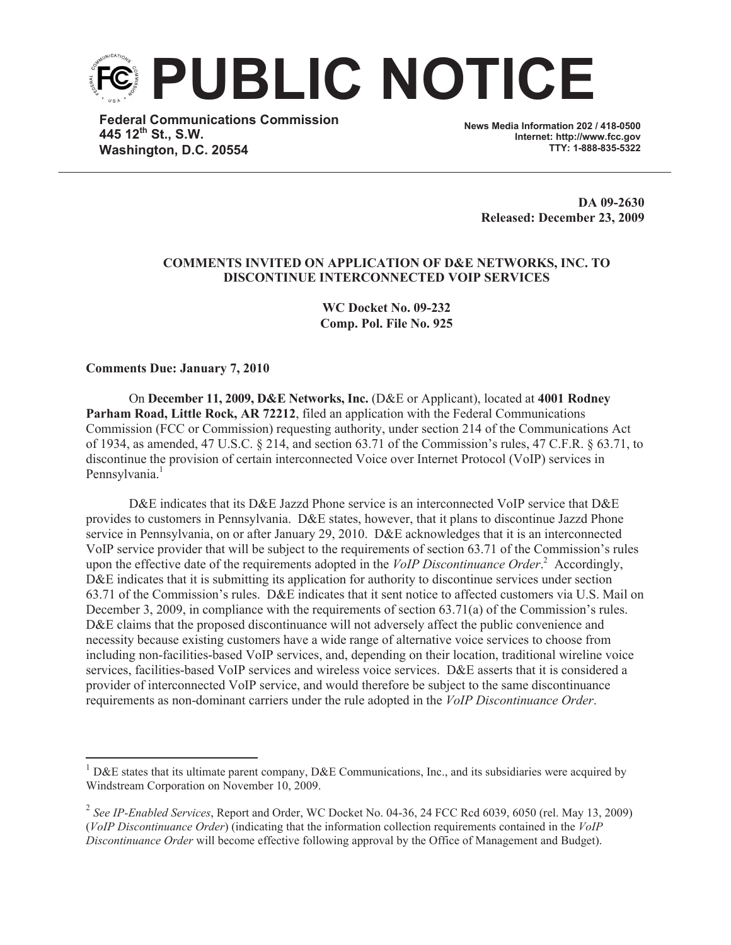

**Federal Communications Commission 445 12th St., S.W. Washington, D.C. 20554**

**News Media Information 202 / 418-0500 Internet: http://www.fcc.gov TTY: 1-888-835-5322**

> **DA 09-2630 Released: December 23, 2009**

## **COMMENTS INVITED ON APPLICATION OF D&E NETWORKS, INC. TO DISCONTINUE INTERCONNECTED VOIP SERVICES**

**WC Docket No. 09-232 Comp. Pol. File No. 925**

**Comments Due: January 7, 2010**

On **December 11, 2009, D&E Networks, Inc.** (D&E or Applicant), located at **4001 Rodney Parham Road, Little Rock, AR 72212**, filed an application with the Federal Communications Commission (FCC or Commission) requesting authority, under section 214 of the Communications Act of 1934, as amended, 47 U.S.C. § 214, and section 63.71 of the Commission's rules, 47 C.F.R. § 63.71, to discontinue the provision of certain interconnected Voice over Internet Protocol (VoIP) services in Pennsylvania.<sup>1</sup>

D&E indicates that its D&E Jazzd Phone service is an interconnected VoIP service that D&E provides to customers in Pennsylvania. D&E states, however, that it plans to discontinue Jazzd Phone service in Pennsylvania, on or after January 29, 2010. D&E acknowledges that it is an interconnected VoIP service provider that will be subject to the requirements of section 63.71 of the Commission's rules upon the effective date of the requirements adopted in the *VoIP Discontinuance Order*. <sup>2</sup> Accordingly, D&E indicates that it is submitting its application for authority to discontinue services under section 63.71 of the Commission's rules. D&E indicates that it sent notice to affected customers via U.S. Mail on December 3, 2009, in compliance with the requirements of section 63.71(a) of the Commission's rules. D&E claims that the proposed discontinuance will not adversely affect the public convenience and necessity because existing customers have a wide range of alternative voice services to choose from including non-facilities-based VoIP services, and, depending on their location, traditional wireline voice services, facilities-based VoIP services and wireless voice services. D&E asserts that it is considered a provider of interconnected VoIP service, and would therefore be subject to the same discontinuance requirements as non-dominant carriers under the rule adopted in the *VoIP Discontinuance Order*.

D&E states that its ultimate parent company, D&E Communications, Inc., and its subsidiaries were acquired by Windstream Corporation on November 10, 2009.

<sup>2</sup> *See IP-Enabled Services*, Report and Order, WC Docket No. 04-36, 24 FCC Rcd 6039, 6050 (rel. May 13, 2009) (*VoIP Discontinuance Order*) (indicating that the information collection requirements contained in the *VoIP Discontinuance Order* will become effective following approval by the Office of Management and Budget).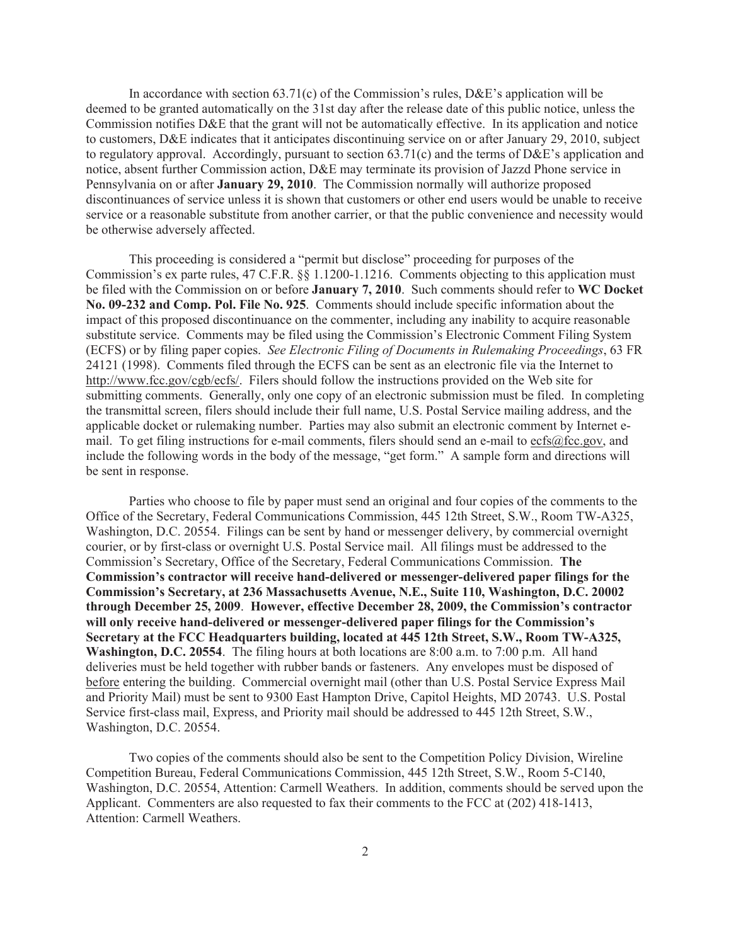In accordance with section  $63.71(c)$  of the Commission's rules, D&E's application will be deemed to be granted automatically on the 31st day after the release date of this public notice, unless the Commission notifies D&E that the grant will not be automatically effective. In its application and notice to customers, D&E indicates that it anticipates discontinuing service on or after January 29, 2010, subject to regulatory approval. Accordingly, pursuant to section 63.71(c) and the terms of  $DAE$ 's application and notice, absent further Commission action, D&E may terminate its provision of Jazzd Phone service in Pennsylvania on or after **January 29, 2010**. The Commission normally will authorize proposed discontinuances of service unless it is shown that customers or other end users would be unable to receive service or a reasonable substitute from another carrier, or that the public convenience and necessity would be otherwise adversely affected.

This proceeding is considered a "permit but disclose" proceeding for purposes of the Commission's ex parte rules, 47 C.F.R. §§ 1.1200-1.1216. Comments objecting to this application must be filed with the Commission on or before **January 7, 2010**. Such comments should refer to **WC Docket No. 09-232 and Comp. Pol. File No. 925**. Comments should include specific information about the impact of this proposed discontinuance on the commenter, including any inability to acquire reasonable substitute service. Comments may be filed using the Commission's Electronic Comment Filing System (ECFS) or by filing paper copies. *See Electronic Filing of Documents in Rulemaking Proceedings*, 63 FR 24121 (1998). Comments filed through the ECFS can be sent as an electronic file via the Internet to http://www.fcc.gov/cgb/ecfs/. Filers should follow the instructions provided on the Web site for submitting comments. Generally, only one copy of an electronic submission must be filed. In completing the transmittal screen, filers should include their full name, U.S. Postal Service mailing address, and the applicable docket or rulemaking number. Parties may also submit an electronic comment by Internet email. To get filing instructions for e-mail comments, filers should send an e-mail to ecfs@fcc.gov, and include the following words in the body of the message, "get form." A sample form and directions will be sent in response.

Parties who choose to file by paper must send an original and four copies of the comments to the Office of the Secretary, Federal Communications Commission, 445 12th Street, S.W., Room TW-A325, Washington, D.C. 20554. Filings can be sent by hand or messenger delivery, by commercial overnight courier, or by first-class or overnight U.S. Postal Service mail. All filings must be addressed to the Commission's Secretary, Office of the Secretary, Federal Communications Commission. **The Commission's contractor will receive hand-delivered or messenger-delivered paper filings for the Commission's Secretary, at 236 Massachusetts Avenue, N.E., Suite 110, Washington, D.C. 20002 through December 25, 2009**. **However, effective December 28, 2009, the Commission's contractor will only receive hand-delivered or messenger-delivered paper filings for the Commission's Secretary at the FCC Headquarters building, located at 445 12th Street, S.W., Room TW-A325, Washington, D.C. 20554**. The filing hours at both locations are 8:00 a.m. to 7:00 p.m. All hand deliveries must be held together with rubber bands or fasteners. Any envelopes must be disposed of before entering the building. Commercial overnight mail (other than U.S. Postal Service Express Mail and Priority Mail) must be sent to 9300 East Hampton Drive, Capitol Heights, MD 20743. U.S. Postal Service first-class mail, Express, and Priority mail should be addressed to 445 12th Street, S.W., Washington, D.C. 20554.

Two copies of the comments should also be sent to the Competition Policy Division, Wireline Competition Bureau, Federal Communications Commission, 445 12th Street, S.W., Room 5-C140, Washington, D.C. 20554, Attention: Carmell Weathers. In addition, comments should be served upon the Applicant. Commenters are also requested to fax their comments to the FCC at (202) 418-1413, Attention: Carmell Weathers.